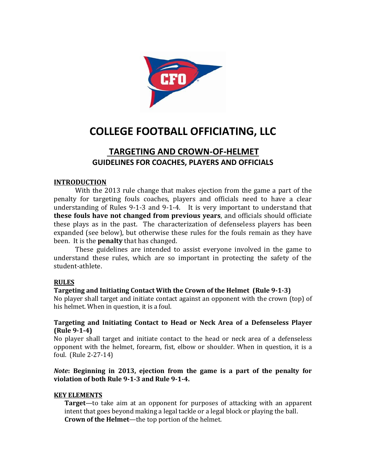

# **COLLEGE FOOTBALL OFFICIATING, LLC**

# **TARGETING AND CROWN-OF-HELMET GUIDELINES FOR COACHES, PLAYERS AND OFFICIALS**

#### **INTRODUCTION**

With the 2013 rule change that makes ejection from the game a part of the penalty for targeting fouls coaches, players and officials need to have a clear understanding of Rules 9-1-3 and 9-1-4. It is very important to understand that **these fouls have not changed from previous years**, and officials should officiate these plays as in the past. The characterization of defenseless players has been expanded (see below), but otherwise these rules for the fouls remain as they have been. It is the **penalty** that has changed.

These guidelines are intended to assist everyone involved in the game to understand these rules, which are so important in protecting the safety of the student-athlete.

#### **RULES**

## **Targeting and Initiating Contact With the Crown of the Helmet (Rule 9-1-3)**

No player shall target and initiate contact against an opponent with the crown (top) of his helmet. When in question, it is a foul.

#### **Targeting and Initiating Contact to Head or Neck Area of a Defenseless Player (Rule 9-1-4)**

No player shall target and initiate contact to the head or neck area of a defenseless opponent with the helmet, forearm, fist, elbow or shoulder. When in question, it is a foul. (Rule 2-27-14)

#### *Note***: Beginning in 2013, ejection from the game is a part of the penalty for violation of both Rule 9-1-3 and Rule 9-1-4.**

#### **KEY ELEMENTS**

**Target**—to take aim at an opponent for purposes of attacking with an apparent intent that goes beyond making a legal tackle or a legal block or playing the ball. **Crown of the Helmet**—the top portion of the helmet.